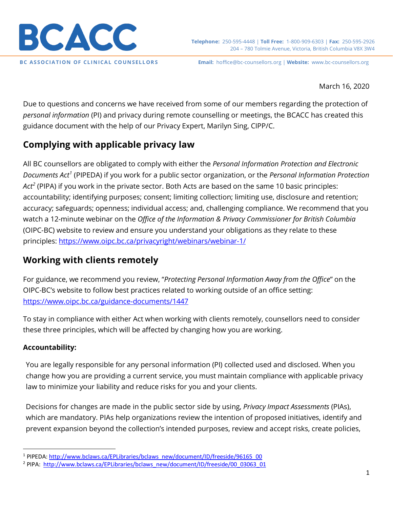

March 16, 2020

Due to questions and concerns we have received from some of our members regarding the protection of *personal information* (PI) and privacy during remote counselling or meetings, the BCACC has created this guidance document with the help of our Privacy Expert, Marilyn Sing, CIPP/C.

# **Complying with applicable privacy law**

All BC counsellors are obligated to comply with either the *Personal Information Protection and Electronic Documents Act[1](#page-0-0)* (PIPEDA) if you work for a public sector organization, or the *Personal Information Protection Act[2](#page-0-1)* (PIPA) if you work in the private sector. Both Acts are based on the same 10 basic principles: accountability; identifying purposes; consent; limiting collection; limiting use, disclosure and retention; accuracy; safeguards; openness; individual access; and, challenging compliance. We recommend that you watch a 12-minute webinar on the *Office of the Information & Privacy Commissioner for British Columbia* (OIPC-BC) website to review and ensure you understand your obligations as they relate to these principles:<https://www.oipc.bc.ca/privacyright/webinars/webinar-1/>

# **Working with clients remotely**

For guidance, we recommend you review, "*Protecting Personal Information Away from the Office*" on the OIPC-BC's website to follow best practices related to working outside of an office setting: <https://www.oipc.bc.ca/guidance-documents/1447>

To stay in compliance with either Act when working with clients remotely, counsellors need to consider these three principles, which will be affected by changing how you are working.

## **Accountability:**

You are legally responsible for any personal information (PI) collected used and disclosed. When you change how you are providing a current service, you must maintain compliance with applicable privacy law to minimize your liability and reduce risks for you and your clients.

Decisions for changes are made in the public sector side by using, *Privacy Impact Assessments* (PIAs), which are mandatory. PIAs help organizations review the intention of proposed initiatives, identify and prevent expansion beyond the collection's intended purposes, review and accept risks, create policies,

<span id="page-0-0"></span> <sup>1</sup> PIPEDA[: http://www.bclaws.ca/EPLibraries/bclaws\\_new/document/ID/freeside/96165\\_00](http://www.bclaws.ca/EPLibraries/bclaws_new/document/ID/freeside/96165_00)

<span id="page-0-1"></span><sup>2</sup> PIPA: [http://www.bclaws.ca/EPLibraries/bclaws\\_new/document/ID/freeside/00\\_03063\\_01](http://www.bclaws.ca/EPLibraries/bclaws_new/document/ID/freeside/00_03063_01)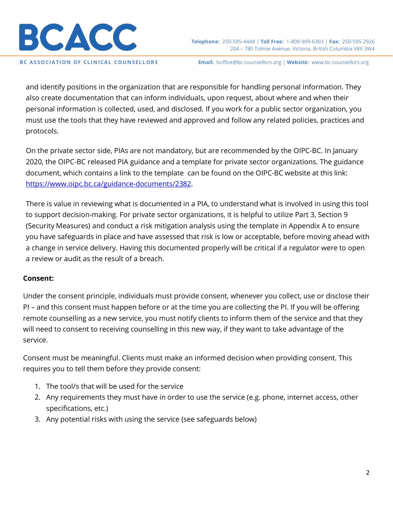

**Telephone:** 250-595-4448 | **Toll Free:** 1-800-909-6303 | **Fax:** 250-595-2926 204 – 780 Tolmie Avenue, Victoria, British Columbia V8X 3W4

**BC ASSOCIATION OF CLINICAL COUNSELLORS Email:** hoffice@bc-counsellors.org | **Website:** www.bc-counsellors.org

and identify positions in the organization that are responsible for handling personal information. They also create documentation that can inform individuals, upon request, about where and when their personal information is collected, used, and disclosed. If you work for a public sector organization, you must use the tools that they have reviewed and approved and follow any related policies, practices and protocols.

On the private sector side, PIAs are not mandatory, but are recommended by the OIPC-BC. In January 2020, the OIPC-BC released PIA guidance and a template for private sector organizations. The guidance document, which contains a link to the template can be found on the OIPC-BC website at this link: [https://www.oipc.bc.ca/guidance-documents/2382.](https://www.oipc.bc.ca/guidance-documents/2382)

There is value in reviewing what is documented in a PIA, to understand what is involved in using this tool to support decision-making. For private sector organizations, it is helpful to utilize Part 3, Section 9 (Security Measures) and conduct a risk mitigation analysis using the template in Appendix A to ensure you have safeguards in place and have assessed that risk is low or acceptable, before moving ahead with a change in service delivery. Having this documented properly will be critical if a regulator were to open a review or audit as the result of a breach.

#### **Consent:**

Under the consent principle, individuals must provide consent, whenever you collect, use or disclose their PI – and this consent must happen before or at the time you are collecting the PI. If you will be offering remote counselling as a new service, you must notify clients to inform them of the service and that they will need to consent to receiving counselling in this new way, if they want to take advantage of the service.

Consent must be meaningful. Clients must make an informed decision when providing consent. This requires you to tell them before they provide consent:

- 1. The tool/s that will be used for the service
- 2. Any requirements they must have in order to use the service (e.g. phone, internet access, other specifications, etc.)
- 3. Any potential risks with using the service (see safeguards below)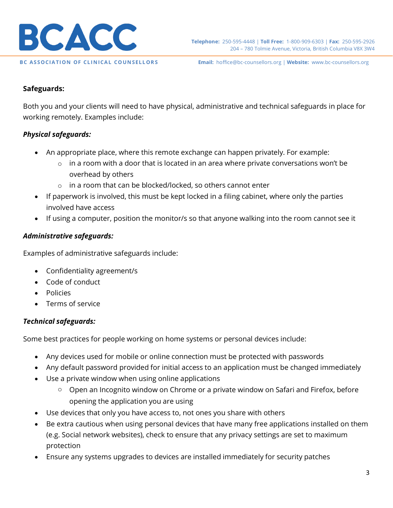

#### **Safeguards:**

Both you and your clients will need to have physical, administrative and technical safeguards in place for working remotely. Examples include:

### *Physical safeguards:*

- An appropriate place, where this remote exchange can happen privately. For example:
	- $\circ$  in a room with a door that is located in an area where private conversations won't be overhead by others
	- o in a room that can be blocked/locked, so others cannot enter
- If paperwork is involved, this must be kept locked in a filing cabinet, where only the parties involved have access
- If using a computer, position the monitor/s so that anyone walking into the room cannot see it

### *Administrative safeguards:*

Examples of administrative safeguards include:

- Confidentiality agreement/s
- Code of conduct
- Policies
- Terms of service

### *Technical safeguards:*

Some best practices for people working on home systems or personal devices include:

- Any devices used for mobile or online connection must be protected with passwords
- Any default password provided for initial access to an application must be changed immediately
- Use a private window when using online applications
	- o Open an Incognito window on Chrome or a private window on Safari and Firefox, before opening the application you are using
- Use devices that only you have access to, not ones you share with others
- Be extra cautious when using personal devices that have many free applications installed on them (e.g. Social network websites), check to ensure that any privacy settings are set to maximum protection
- Ensure any systems upgrades to devices are installed immediately for security patches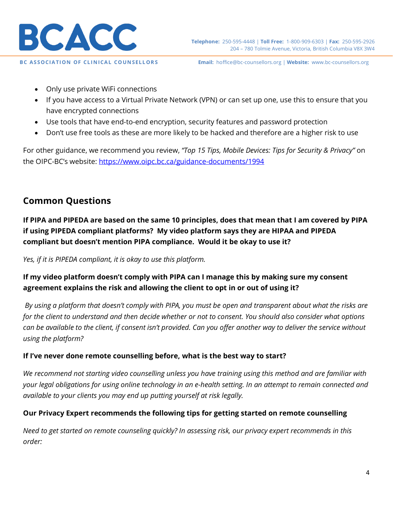

- Only use private WiFi connections
- If you have access to a Virtual Private Network (VPN) or can set up one, use this to ensure that you have encrypted connections
- Use tools that have end-to-end encryption, security features and password protection
- Don't use free tools as these are more likely to be hacked and therefore are a higher risk to use

For other guidance, we recommend you review, *"Top 15 Tips, Mobile Devices: Tips for Security & Privacy"* on the OIPC-BC's website: https://www.oipc.bc.ca/guidance-documents/1994

# **Common Questions**

**If PIPA and PIPEDA are based on the same 10 principles, does that mean that I am covered by PIPA if using PIPEDA compliant platforms? My video platform says they are HIPAA and PIPEDA compliant but doesn't mention PIPA compliance. Would it be okay to use it?** 

*Yes, if it is PIPEDA compliant, it is okay to use this platform.*

## **If my video platform doesn't comply with PIPA can I manage this by making sure my consent agreement explains the risk and allowing the client to opt in or out of using it?**

*By using a platform that doesn't comply with PIPA, you must be open and transparent about what the risks are for the client to understand and then decide whether or not to consent. You should also consider what options can be available to the client, if consent isn't provided. Can you offer another way to deliver the service without using the platform?* 

### **If I've never done remote counselling before, what is the best way to start?**

*We recommend not starting video counselling unless you have training using this method and are familiar with your legal obligations for using online technology in an e-health setting. In an attempt to remain connected and available to your clients you may end up putting yourself at risk legally.*

### **Our Privacy Expert recommends the following tips for getting started on remote counselling**

*Need to get started on remote counseling quickly? In assessing risk, our privacy expert recommends in this order:*